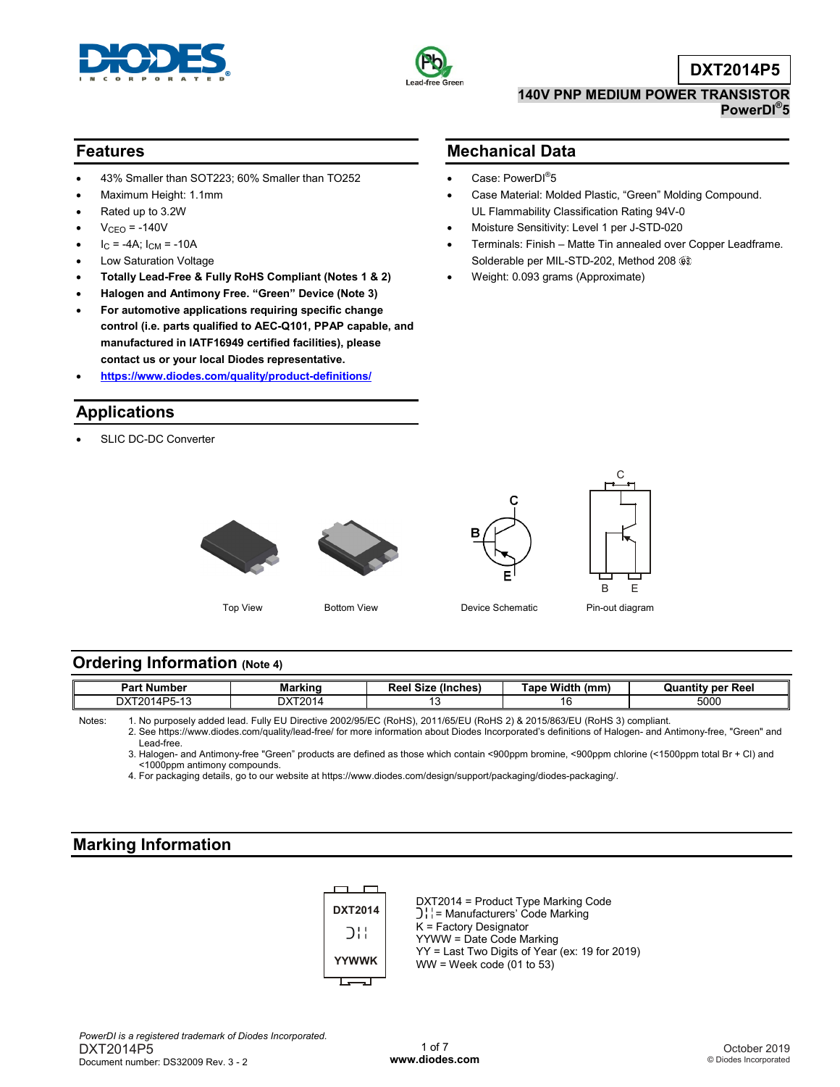



**Mechanical Data**

• Case: PowerDI<sup>®</sup>5

**DXT2014P5**

#### **140V PNP MEDIUM POWER TRANSISTOR PowerDI® 5**

• Case Material: Molded Plastic, "Green" Molding Compound.

• Terminals: Finish – Matte Tin annealed over Copper Leadframe.

UL Flammability Classification Rating 94V-0 • Moisture Sensitivity: Level 1 per J-STD-020

Solderable per MIL-STD-202, Method 208

• Weight: 0.093 grams (Approximate)

#### **Features**

- 43% Smaller than SOT223; 60% Smaller than TO252
- Maximum Height: 1.1mm
- Rated up to 3.2W
- $V<sub>CEO</sub> = -140V$
- $I_C = -4A$ ;  $I_{CM} = -10A$
- Low Saturation Voltage
- **Totally Lead-Free & Fully RoHS Compliant (Notes 1 & 2)**
- **Halogen and Antimony Free. "Green" Device (Note 3)**
- **For automotive applications requiring specific change control (i.e. parts qualified to AEC-Q101, PPAP capable, and manufactured in IATF16949 certified facilities), please contact us or your local Diodes representative.**
- **<https://www.diodes.com/quality/product-definitions/>**

# **Applications**

SLIC DC-DC Converter



Top View **Bottom View Community Contract Contract Contract Pin-out diagram** 

B E

C

#### **Ordering Information (Note 4)**

| - -<br>Part<br>. Number | - -<br>Markind | $-$<br>ומס<br>(Inches)<br>sterna and the contract of the contract of the contract of the contract of the contract of the contract of the contract of the contract of the contract of the contract of the contract of the contract of the contract of the<br>- -<br>שנ<br>nee. | Width<br>(mm<br>Гoр.<br>ave | Reel<br>Quantitv per |
|-------------------------|----------------|-------------------------------------------------------------------------------------------------------------------------------------------------------------------------------------------------------------------------------------------------------------------------------|-----------------------------|----------------------|
|                         | DXT∶<br>7014   |                                                                                                                                                                                                                                                                               |                             | 5000                 |

Notes: 1. No purposely added lead. Fully EU Directive 2002/95/EC (RoHS), 2011/65/EU (RoHS 2) & 2015/863/EU (RoHS 3) compliant.

2. See [https://www.diodes.com/quality/lead-free/ fo](https://www.diodes.com/quality/lead-free/)r more information about Diodes Incorporated's definitions of Halogen- and Antimony-free, "Green" and Lead-free.

3. Halogen- and Antimony-free "Green" products are defined as those which contain <900ppm bromine, <900ppm chlorine (<1500ppm total Br + Cl) and <1000ppm antimony compounds.

4. For packaging details, go to our website at [https://www.diodes.com/design/support/packaging/diodes-packaging/.](https://www.diodes.com/design/support/packaging/diodes-packaging/)

#### **Marking Information**

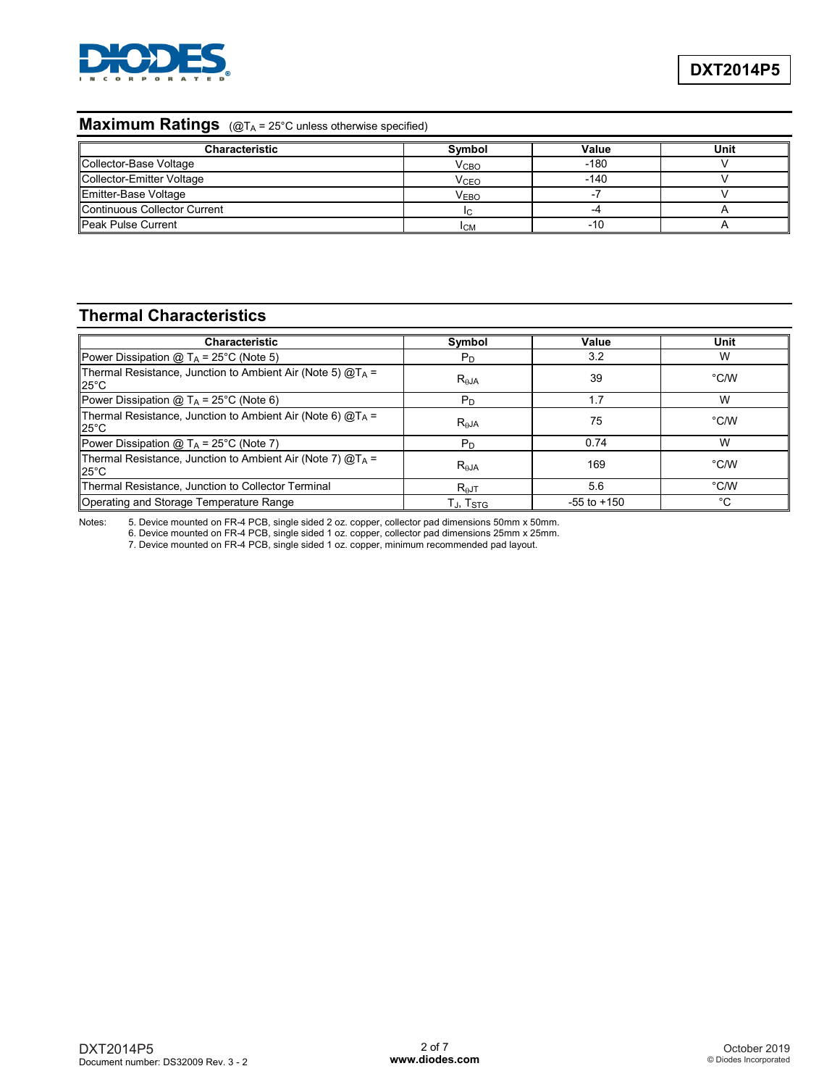

## **Maximum Ratings** (@T<sub>A</sub> = 25°C unless otherwise specified)

| <b>Characteristic</b>        | Symbol                 | Value  | Unit |
|------------------------------|------------------------|--------|------|
| Collector-Base Voltage       | V <sub>CBO</sub>       | $-180$ |      |
| Collector-Emitter Voltage    | <b>V<sub>CEO</sub></b> | $-140$ |      |
| Emitter-Base Voltage         | <b>VEBO</b>            |        |      |
| Continuous Collector Current |                        |        |      |
| <b>Peak Pulse Current</b>    | <b>ICM</b>             | -10    |      |

# **Thermal Characteristics**

| <b>Characteristic</b>                                                            | Symbol               | Value           | Unit |
|----------------------------------------------------------------------------------|----------------------|-----------------|------|
| Power Dissipation @ $T_A$ = 25°C (Note 5)                                        | $P_D$                | 3.2             | W    |
| Thermal Resistance, Junction to Ambient Air (Note 5) $@T_A =$<br>$25^{\circ}$ C  | $R_{AJA}$            | 39              | °C/W |
| Power Dissipation $@T_A = 25^{\circ}C$ (Note 6)                                  | P <sub>D</sub>       | 1.7             | W    |
| Thermal Resistance, Junction to Ambient Air (Note 6) $@T_A =$<br>$125^{\circ}$ C | $R_{\theta$ JA       | 75              | °C/W |
| Power Dissipation $@T_A = 25^{\circ}C$ (Note 7)                                  | $P_D$                | 0.74            | W    |
| Thermal Resistance, Junction to Ambient Air (Note 7) $@T_A =$<br>$125^{\circ}$ C | R <sub>AJA</sub>     | 169             | °C/W |
| Thermal Resistance, Junction to Collector Terminal                               | $R_{\theta}$ JT      | 5.6             | °C/W |
| Operating and Storage Temperature Range                                          | TJ, T <sub>STG</sub> | $-55$ to $+150$ | °C   |

Notes: 5. Device mounted on FR-4 PCB, single sided 2 oz. copper, collector pad dimensions 50mm x 50mm.

6. Device mounted on FR-4 PCB, single sided 1 oz. copper, collector pad dimensions 25mm x 25mm.

7. Device mounted on FR-4 PCB, single sided 1 oz. copper, minimum recommended pad layout.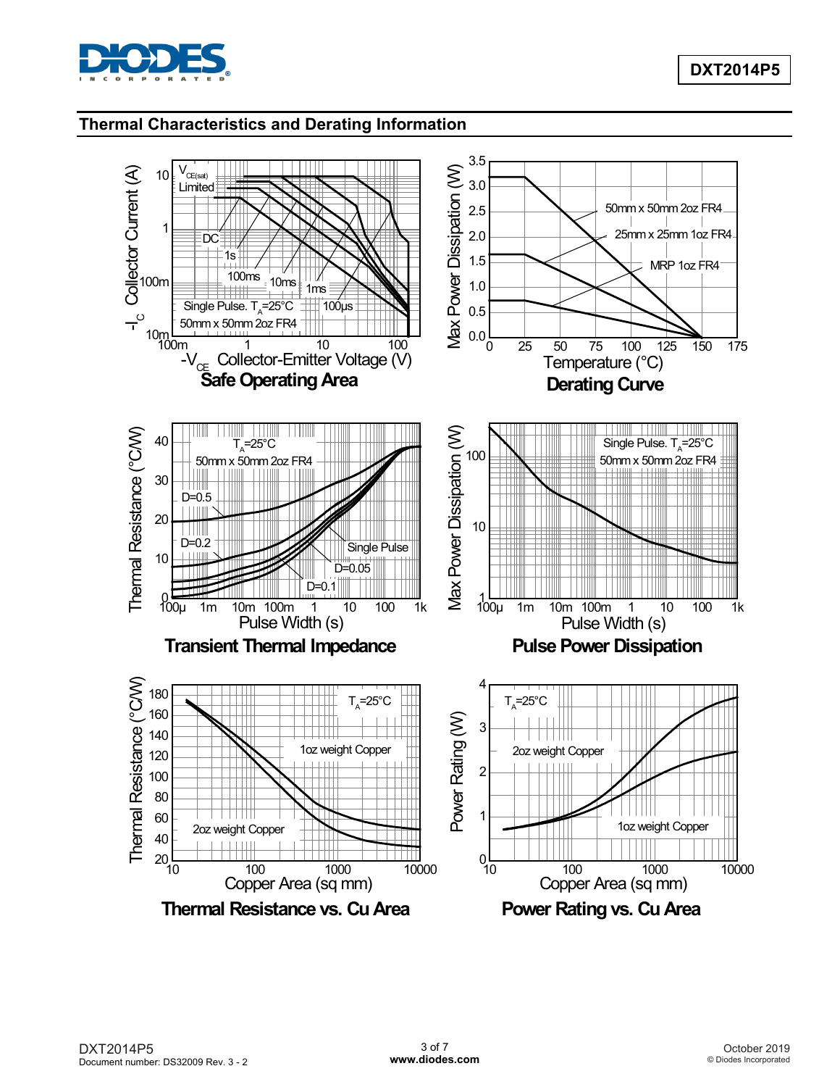

#### **Thermal Characteristics and Derating Information**

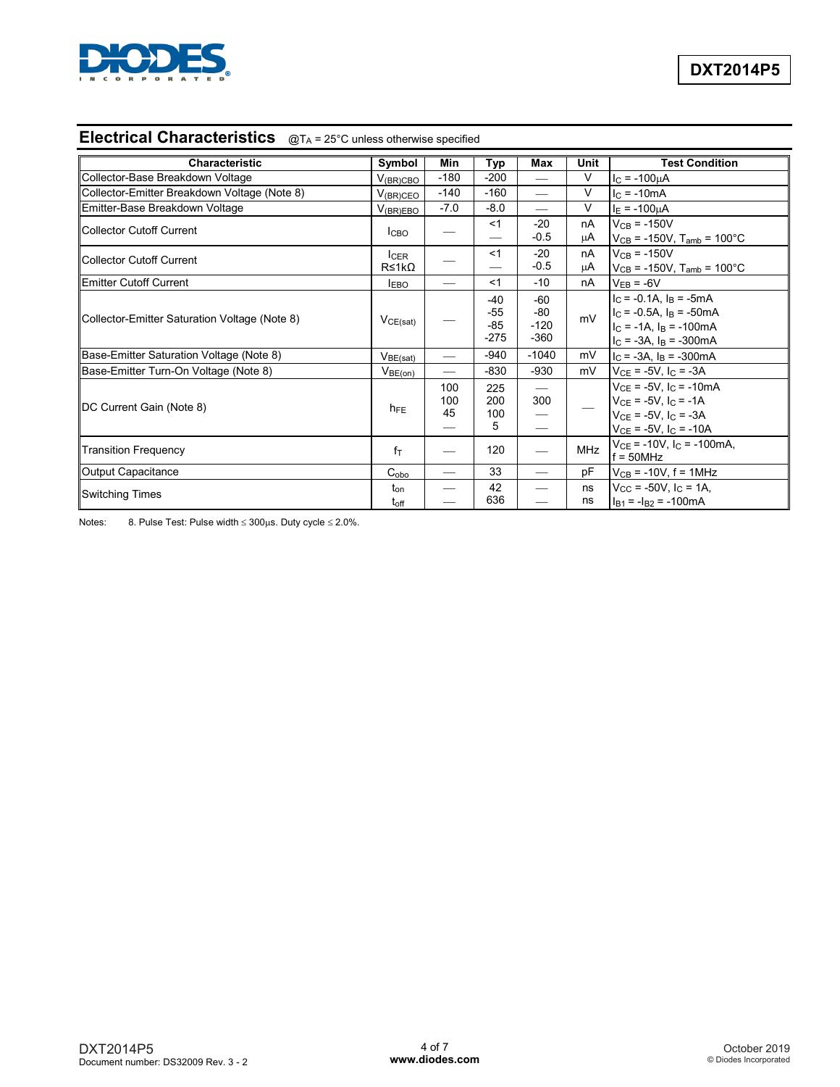

## **Electrical Characteristics** @TA = 25°C unless otherwise specified

| <b>Characteristic</b>                         | Symbol                       | Min              | Typ                               | Max                              | Unit       | <b>Test Condition</b>                                                                                                                |
|-----------------------------------------------|------------------------------|------------------|-----------------------------------|----------------------------------|------------|--------------------------------------------------------------------------------------------------------------------------------------|
| Collector-Base Breakdown Voltage              | $V_{(BR)CBO}$                | $-180$           | $-200$                            |                                  | V          | $I_{C} = -100 \mu A$                                                                                                                 |
| Collector-Emitter Breakdown Voltage (Note 8)  | $V_{\rm (BR)CEO}$            | $-140$           | $-160$                            | $\qquad \qquad$                  | $\vee$     | $IC$ = -10mA                                                                                                                         |
| Emitter-Base Breakdown Voltage                | $V_{(BR)EBO}$                | $-7.0$           | $-8.0$                            | $\overline{\phantom{m}}$         | V          | $I_E = -100 \mu A$                                                                                                                   |
| Collector Cutoff Current                      | <b>I</b> CBO                 |                  | <1                                | $-20$<br>$-0.5$                  | nA<br>μA   | $V_{CB} = -150V$<br>$V_{CB}$ = -150V, T <sub>amb</sub> = 100°C                                                                       |
| Collector Cutoff Current                      | $I_{CER}$<br>R≤1kΩ           |                  | $<$ 1                             | $-20$<br>$-0.5$                  | nA<br>μA   | $V_{CB} = -150V$<br>$V_{CB}$ = -150V, T <sub>amb</sub> = 100°C                                                                       |
| <b>Emitter Cutoff Current</b>                 | <b>IEBO</b>                  |                  | <1                                | $-10$                            | nA         | $V_{EB} = -6V$                                                                                                                       |
| Collector-Emitter Saturation Voltage (Note 8) | VCE(sat)                     |                  | $-40$<br>$-55$<br>$-85$<br>$-275$ | $-60$<br>-80<br>$-120$<br>$-360$ | mV         | $I_C = -0.1A$ , $I_B = -5mA$<br>$IC$ = -0.5A, $IB$ = -50mA<br>$I_C = -1A$ , $I_B = -100mA$<br>$I_C = -3A$ , $I_B = -300mA$           |
| Base-Emitter Saturation Voltage (Note 8)      | V <sub>BE(sat)</sub>         |                  | $-940$                            | $-1040$                          | mV         | $IC = -3A$ , $IB = -300mA$                                                                                                           |
| Base-Emitter Turn-On Voltage (Note 8)         | $V_{BE(on)}$                 |                  | $-830$                            | $-930$                           | mV         | $V_{CE}$ = -5V, $I_C$ = -3A                                                                                                          |
| DC Current Gain (Note 8)                      | $h_{FE}$                     | 100<br>100<br>45 | 225<br>200<br>100<br>5            | $\overline{\phantom{0}}$<br>300  |            | $V_{CE}$ = -5V, $I_C$ = -10mA<br>$V_{CE}$ = -5V, I <sub>C</sub> = -1A<br>$V_{CE}$ = -5V, $I_C$ = -3A<br>$V_{CE}$ = -5V, $I_C$ = -10A |
| <b>Transition Frequency</b>                   | $f_{\text{T}}$               |                  | 120                               | $\overline{\phantom{0}}$         | <b>MHz</b> | $V_{CE}$ = -10V, $I_C$ = -100mA,<br>$f = 50$ MHz                                                                                     |
| Output Capacitance                            | $C_{\text{obo}}$             |                  | 33                                | $\overline{\phantom{0}}$         | pF         | $V_{CB}$ = -10V, f = 1MHz                                                                                                            |
| <b>Switching Times</b>                        | t <sub>on</sub><br>$t_{off}$ |                  | 42<br>636                         | $\overline{\phantom{0}}$         | ns<br>ns   | $V_{\rm CC}$ = -50V, $I_{\rm C}$ = 1A,<br>$I_{B1} = -I_{B2} = -100mA$                                                                |

Notes: 8. Pulse Test: Pulse width ≤ 300µs. Duty cycle ≤ 2.0%.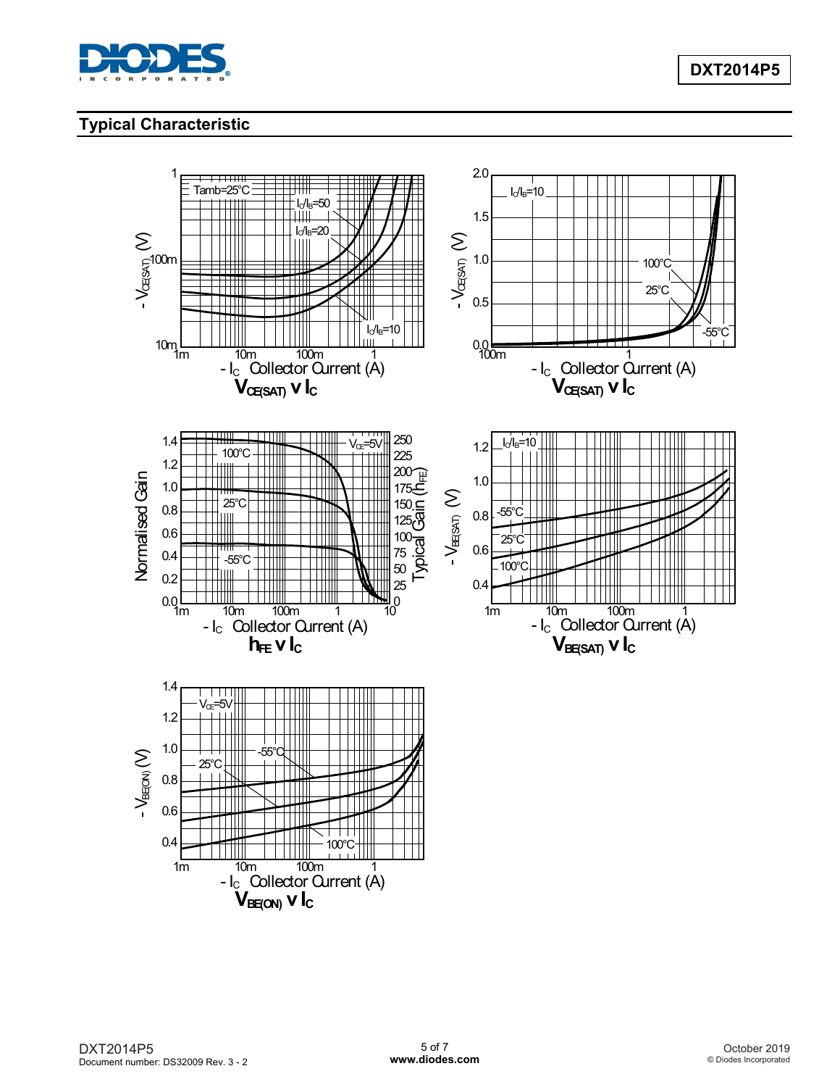

# **Typical Characteristic**

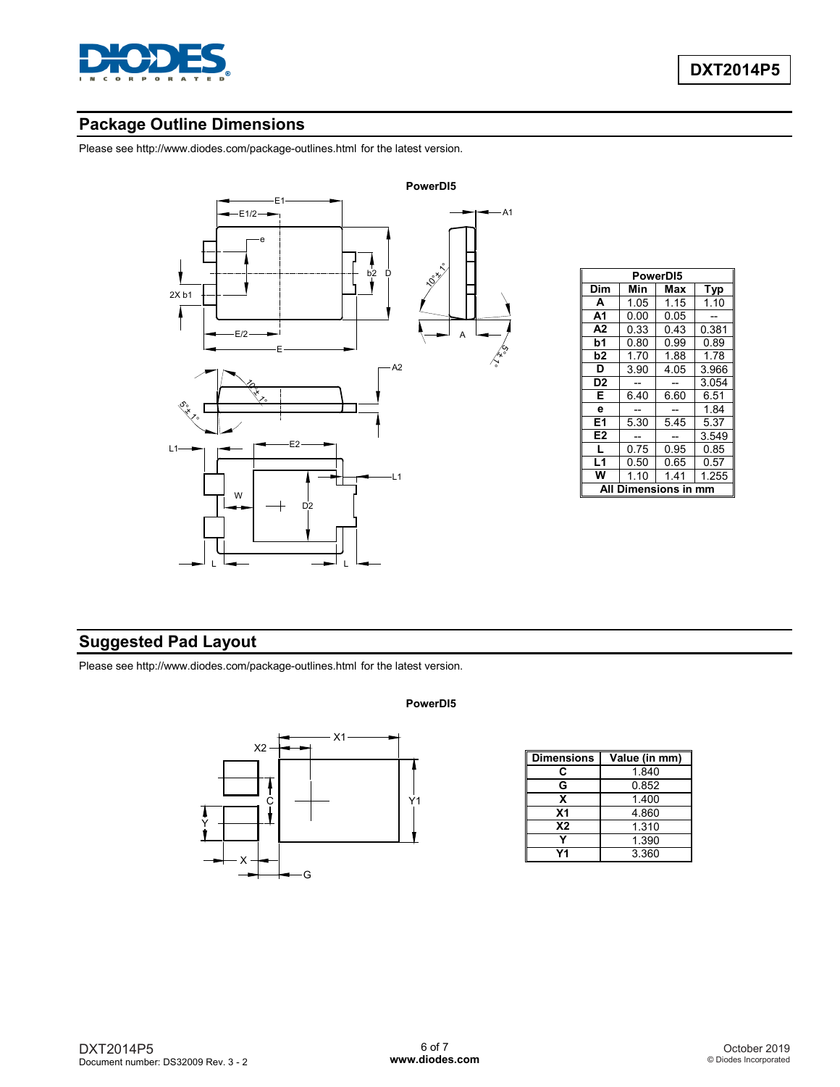

# **Package Outline Dimensions**

Please see<http://www.diodes.com/package-outlines.html> for the latest version.



| PowerD <sub>15</sub> |      |      |            |  |  |
|----------------------|------|------|------------|--|--|
| Dim                  | Min  | Max  | <b>Typ</b> |  |  |
| A                    | 1.05 | 1.15 | 1.10       |  |  |
| А1                   | 0.00 | 0.05 |            |  |  |
| A <sub>2</sub>       | 0.33 | 0.43 | 0.381      |  |  |
| b1                   | 0.80 | 0.99 | 0.89       |  |  |
| b2                   | 1.70 | 1.88 | 1.78       |  |  |
| D                    | 3.90 | 4.05 | 3.966      |  |  |
| D <sub>2</sub>       |      |      | 3.054      |  |  |
| E                    | 6.40 | 6.60 | 6.51       |  |  |
| e                    |      |      | 1.84       |  |  |
| E1                   | 5.30 | 5.45 | 5.37       |  |  |
| E2                   |      |      | 3.549      |  |  |
| L                    | 0.75 | 0.95 | 0.85       |  |  |
| L1                   | 0.50 | 0.65 | 0.57       |  |  |
| w                    | 1.10 | 1.41 | 1.255      |  |  |
| Dimensions in<br>Δ   |      |      |            |  |  |

## **Suggested Pad Layout**

Please see<http://www.diodes.com/package-outlines.html> for the latest version.

# **PowerDI5**



| <b>Dimensions</b> | Value (in mm) |
|-------------------|---------------|
| C                 | 1.840         |
| G                 | 0.852         |
| x                 | 1.400         |
| X <sub>1</sub>    | 4.860         |
| X <sub>2</sub>    | 1.310         |
|                   | 1.390         |
| У4                | 3.360         |